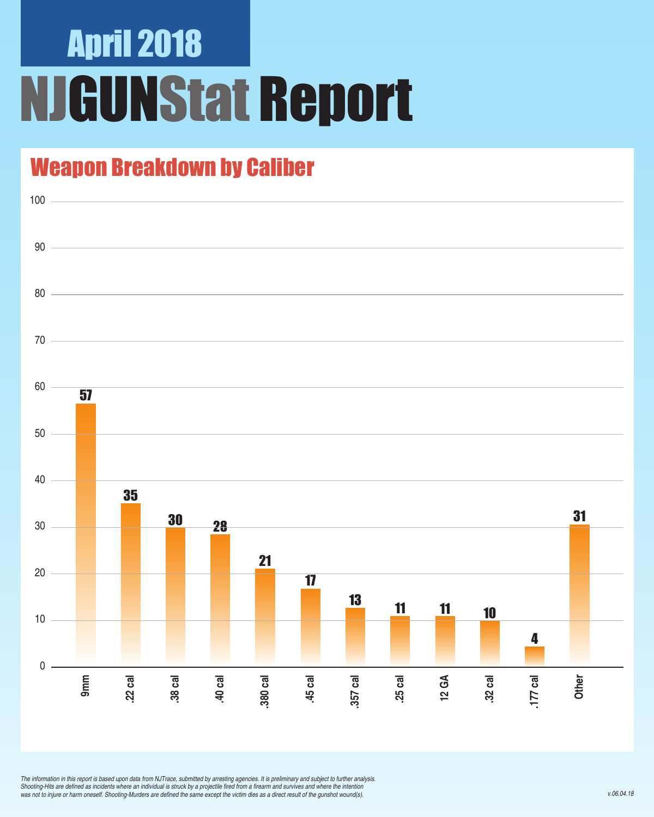## April 2018 NJGUNStat Report

### Weapon Breakdown by Caliber



*The information in this report is based upon data from NJTrace, submitted by arresting agencies. It is preliminary and subject to further analysis.*  Shooting-Hits are defined as incidents where an individual is struck by a projectile fired from a firearm and survives and where the intention was not to injure or harm oneself. Shooting-Murders are defined the same except the victim dies as a direct result of the gunshot wound(s).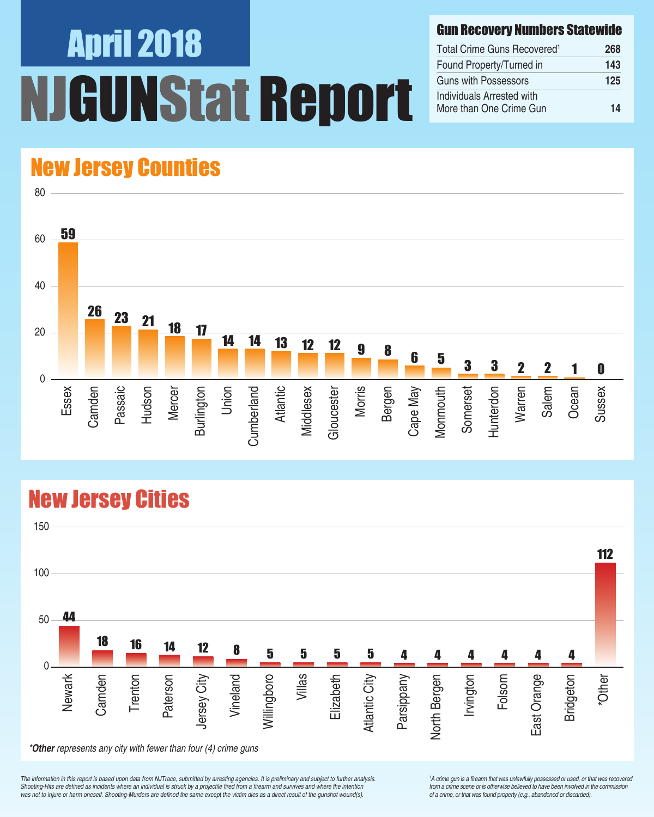# April 2018 UNStat Report

#### Gun Recovery Numbers Statewide

| Total Crime Guns Recovered <sup>1</sup>              | 268 |
|------------------------------------------------------|-----|
| Found Property/Turned in                             | 143 |
| Guns with Possessors                                 | 125 |
| Individuals Arrested with<br>More than One Crime Gun | 14  |

### New Jersey Counties



### New Jersey Cities



*The information in this report is based upon data from NJTrace, submitted by arresting agencies. It is preliminary and subject to further analysis.*  Shooting-Hits are defined as incidents where an individual is struck by a projectile fired from a firearm and survives and where the intention was not to injure or harm oneself. Shooting-Murders are defined the same except the victim dies as a direct result of the gunshot wound(s).

<sup>1</sup>A crime gun is a firearm that was unlawfully possessed or used, or that was recovered from a crime scene or is otherwise believed to have been involved in the commission *of a crime, or that was found property (e.g., abandoned or discarded).*